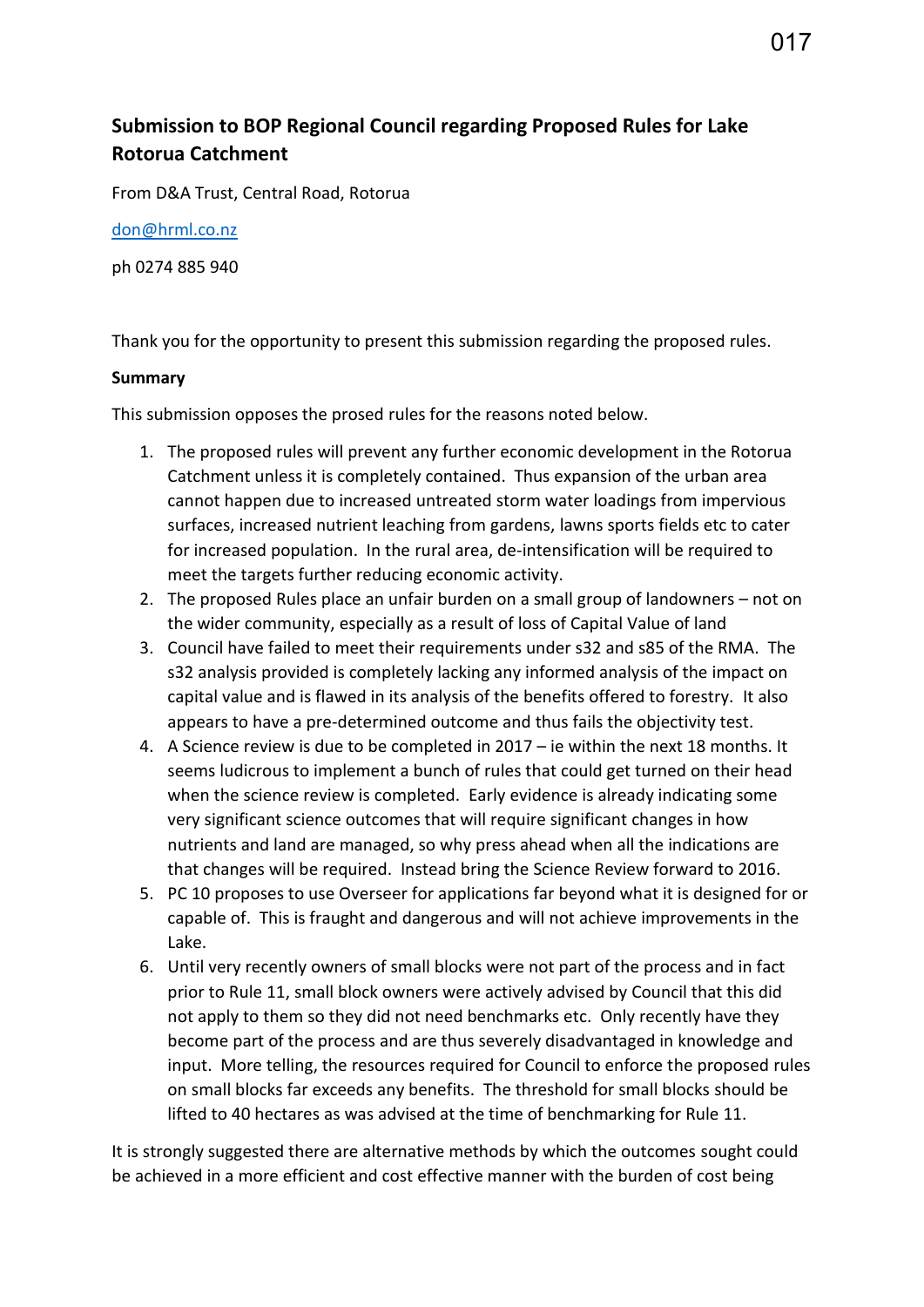# **Submission to BOP Regional Council regarding Proposed Rules for Lake Rotorua Catchment**

From D&A Trust, Central Road, Rotorua

[don@hrml.co.nz](mailto:don@hrml.co.nz)

ph 0274 885 940

Thank you for the opportunity to present this submission regarding the proposed rules.

#### **Summary**

This submission opposes the prosed rules for the reasons noted below.

- 1. The proposed rules will prevent any further economic development in the Rotorua Catchment unless it is completely contained. Thus expansion of the urban area cannot happen due to increased untreated storm water loadings from impervious surfaces, increased nutrient leaching from gardens, lawns sports fields etc to cater for increased population. In the rural area, de-intensification will be required to meet the targets further reducing economic activity.
- 2. The proposed Rules place an unfair burden on a small group of landowners not on the wider community, especially as a result of loss of Capital Value of land
- 3. Council have failed to meet their requirements under s32 and s85 of the RMA. The s32 analysis provided is completely lacking any informed analysis of the impact on capital value and is flawed in its analysis of the benefits offered to forestry. It also appears to have a pre-determined outcome and thus fails the objectivity test.
- 4. A Science review is due to be completed in 2017 ie within the next 18 months. It seems ludicrous to implement a bunch of rules that could get turned on their head when the science review is completed. Early evidence is already indicating some very significant science outcomes that will require significant changes in how nutrients and land are managed, so why press ahead when all the indications are that changes will be required. Instead bring the Science Review forward to 2016.
- 5. PC 10 proposes to use Overseer for applications far beyond what it is designed for or capable of. This is fraught and dangerous and will not achieve improvements in the Lake.
- 6. Until very recently owners of small blocks were not part of the process and in fact prior to Rule 11, small block owners were actively advised by Council that this did not apply to them so they did not need benchmarks etc. Only recently have they become part of the process and are thus severely disadvantaged in knowledge and input. More telling, the resources required for Council to enforce the proposed rules on small blocks far exceeds any benefits. The threshold for small blocks should be lifted to 40 hectares as was advised at the time of benchmarking for Rule 11.

It is strongly suggested there are alternative methods by which the outcomes sought could be achieved in a more efficient and cost effective manner with the burden of cost being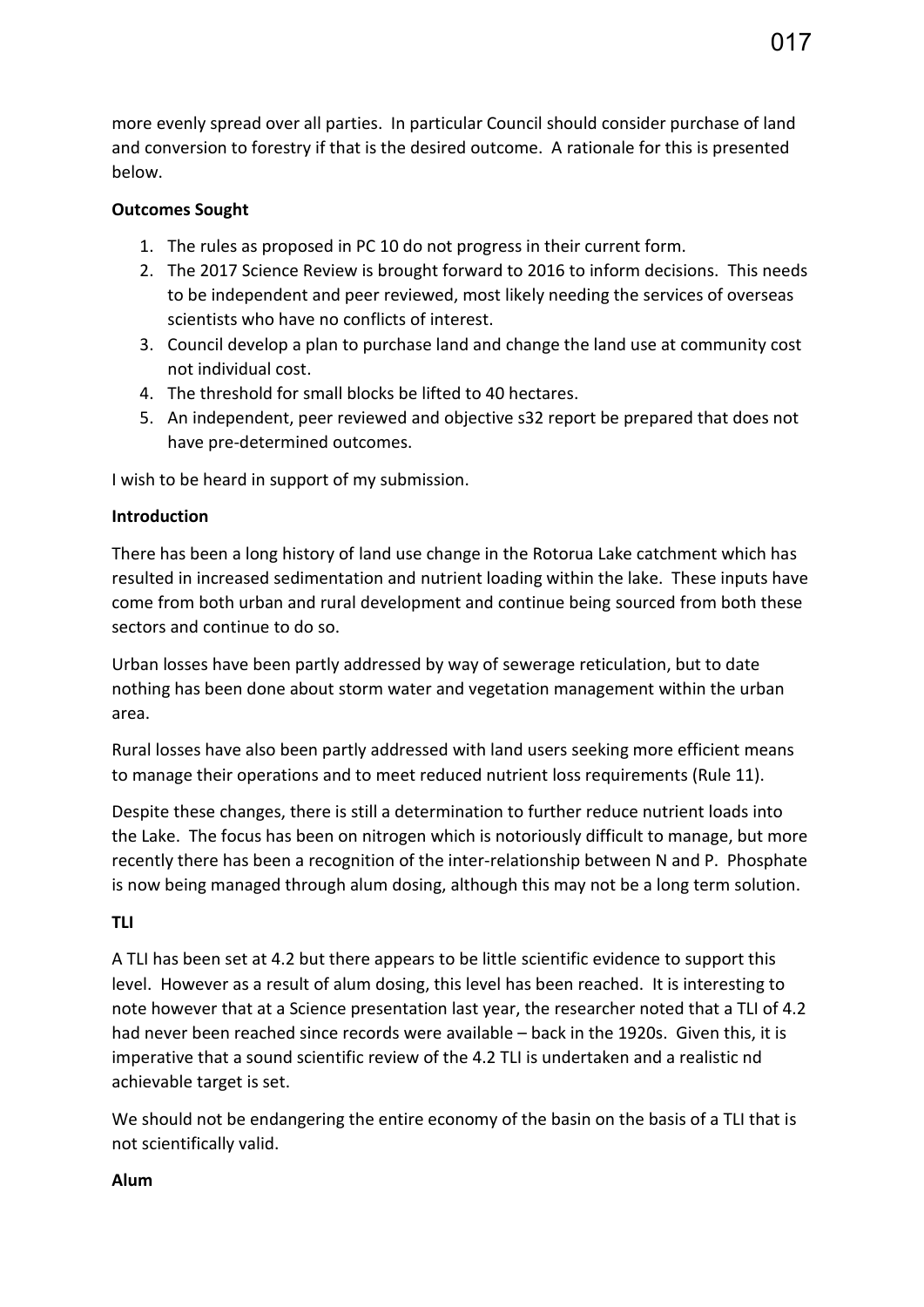more evenly spread over all parties. In particular Council should consider purchase of land and conversion to forestry if that is the desired outcome. A rationale for this is presented below.

## **Outcomes Sought**

- 1. The rules as proposed in PC 10 do not progress in their current form.
- 2. The 2017 Science Review is brought forward to 2016 to inform decisions. This needs to be independent and peer reviewed, most likely needing the services of overseas scientists who have no conflicts of interest.
- 3. Council develop a plan to purchase land and change the land use at community cost not individual cost.
- 4. The threshold for small blocks be lifted to 40 hectares.
- 5. An independent, peer reviewed and objective s32 report be prepared that does not have pre-determined outcomes.

I wish to be heard in support of my submission.

## **Introduction**

There has been a long history of land use change in the Rotorua Lake catchment which has resulted in increased sedimentation and nutrient loading within the lake. These inputs have come from both urban and rural development and continue being sourced from both these sectors and continue to do so.

Urban losses have been partly addressed by way of sewerage reticulation, but to date nothing has been done about storm water and vegetation management within the urban area.

Rural losses have also been partly addressed with land users seeking more efficient means to manage their operations and to meet reduced nutrient loss requirements (Rule 11).

Despite these changes, there is still a determination to further reduce nutrient loads into the Lake. The focus has been on nitrogen which is notoriously difficult to manage, but more recently there has been a recognition of the inter-relationship between N and P. Phosphate is now being managed through alum dosing, although this may not be a long term solution.

# **TLI**

A TLI has been set at 4.2 but there appears to be little scientific evidence to support this level. However as a result of alum dosing, this level has been reached. It is interesting to note however that at a Science presentation last year, the researcher noted that a TLI of 4.2 had never been reached since records were available – back in the 1920s. Given this, it is imperative that a sound scientific review of the 4.2 TLI is undertaken and a realistic nd achievable target is set.

We should not be endangering the entire economy of the basin on the basis of a TLI that is not scientifically valid.

#### **Alum**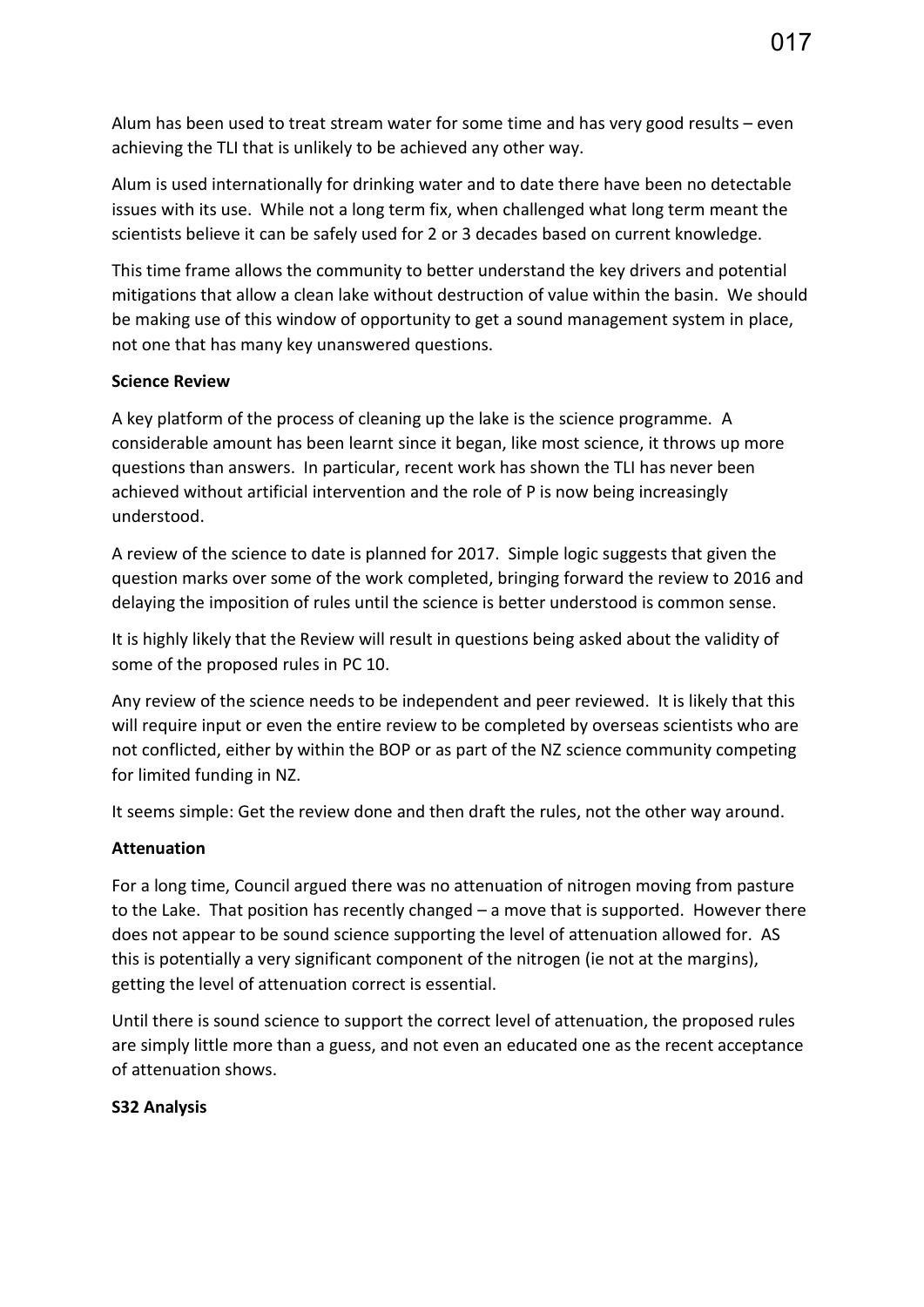Alum has been used to treat stream water for some time and has very good results – even achieving the TLI that is unlikely to be achieved any other way.

Alum is used internationally for drinking water and to date there have been no detectable issues with its use. While not a long term fix, when challenged what long term meant the scientists believe it can be safely used for 2 or 3 decades based on current knowledge.

This time frame allows the community to better understand the key drivers and potential mitigations that allow a clean lake without destruction of value within the basin. We should be making use of this window of opportunity to get a sound management system in place, not one that has many key unanswered questions.

#### **Science Review**

A key platform of the process of cleaning up the lake is the science programme. A considerable amount has been learnt since it began, like most science, it throws up more questions than answers. In particular, recent work has shown the TLI has never been achieved without artificial intervention and the role of P is now being increasingly understood.

A review of the science to date is planned for 2017. Simple logic suggests that given the question marks over some of the work completed, bringing forward the review to 2016 and delaying the imposition of rules until the science is better understood is common sense.

It is highly likely that the Review will result in questions being asked about the validity of some of the proposed rules in PC 10.

Any review of the science needs to be independent and peer reviewed. It is likely that this will require input or even the entire review to be completed by overseas scientists who are not conflicted, either by within the BOP or as part of the NZ science community competing for limited funding in NZ.

It seems simple: Get the review done and then draft the rules, not the other way around.

#### **Attenuation**

For a long time, Council argued there was no attenuation of nitrogen moving from pasture to the Lake. That position has recently changed – a move that is supported. However there does not appear to be sound science supporting the level of attenuation allowed for. AS this is potentially a very significant component of the nitrogen (ie not at the margins), getting the level of attenuation correct is essential.

Until there is sound science to support the correct level of attenuation, the proposed rules are simply little more than a guess, and not even an educated one as the recent acceptance of attenuation shows.

#### **S32 Analysis**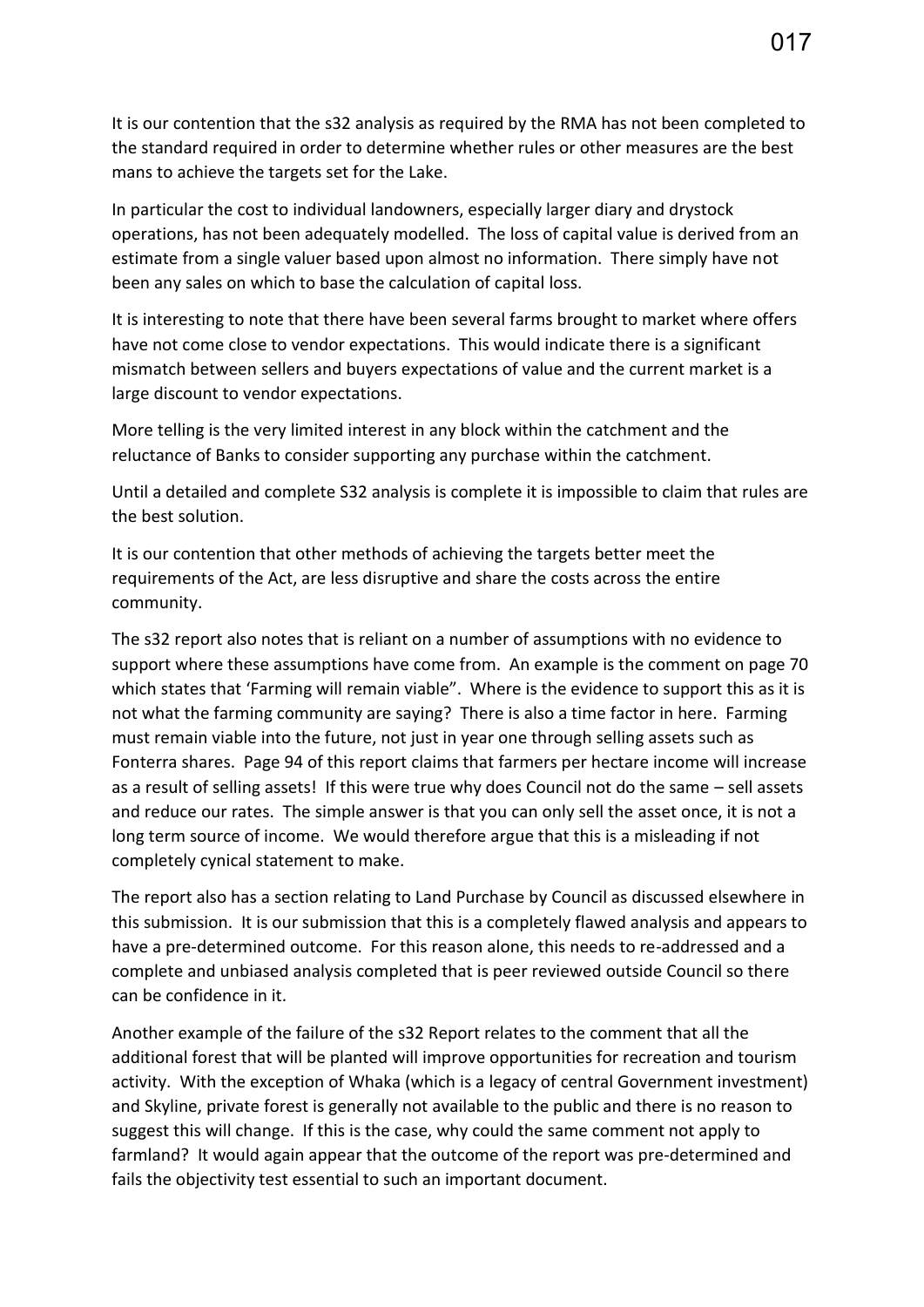It is our contention that the s32 analysis as required by the RMA has not been completed to the standard required in order to determine whether rules or other measures are the best mans to achieve the targets set for the Lake.

In particular the cost to individual landowners, especially larger diary and drystock operations, has not been adequately modelled. The loss of capital value is derived from an estimate from a single valuer based upon almost no information. There simply have not been any sales on which to base the calculation of capital loss.

It is interesting to note that there have been several farms brought to market where offers have not come close to vendor expectations. This would indicate there is a significant mismatch between sellers and buyers expectations of value and the current market is a large discount to vendor expectations.

More telling is the very limited interest in any block within the catchment and the reluctance of Banks to consider supporting any purchase within the catchment.

Until a detailed and complete S32 analysis is complete it is impossible to claim that rules are the best solution.

It is our contention that other methods of achieving the targets better meet the requirements of the Act, are less disruptive and share the costs across the entire community.

The s32 report also notes that is reliant on a number of assumptions with no evidence to support where these assumptions have come from. An example is the comment on page 70 which states that 'Farming will remain viable". Where is the evidence to support this as it is not what the farming community are saying? There is also a time factor in here. Farming must remain viable into the future, not just in year one through selling assets such as Fonterra shares. Page 94 of this report claims that farmers per hectare income will increase as a result of selling assets! If this were true why does Council not do the same – sell assets and reduce our rates. The simple answer is that you can only sell the asset once, it is not a long term source of income. We would therefore argue that this is a misleading if not completely cynical statement to make.

The report also has a section relating to Land Purchase by Council as discussed elsewhere in this submission. It is our submission that this is a completely flawed analysis and appears to have a pre-determined outcome. For this reason alone, this needs to re-addressed and a complete and unbiased analysis completed that is peer reviewed outside Council so there can be confidence in it.

Another example of the failure of the s32 Report relates to the comment that all the additional forest that will be planted will improve opportunities for recreation and tourism activity. With the exception of Whaka (which is a legacy of central Government investment) and Skyline, private forest is generally not available to the public and there is no reason to suggest this will change. If this is the case, why could the same comment not apply to farmland? It would again appear that the outcome of the report was pre-determined and fails the objectivity test essential to such an important document.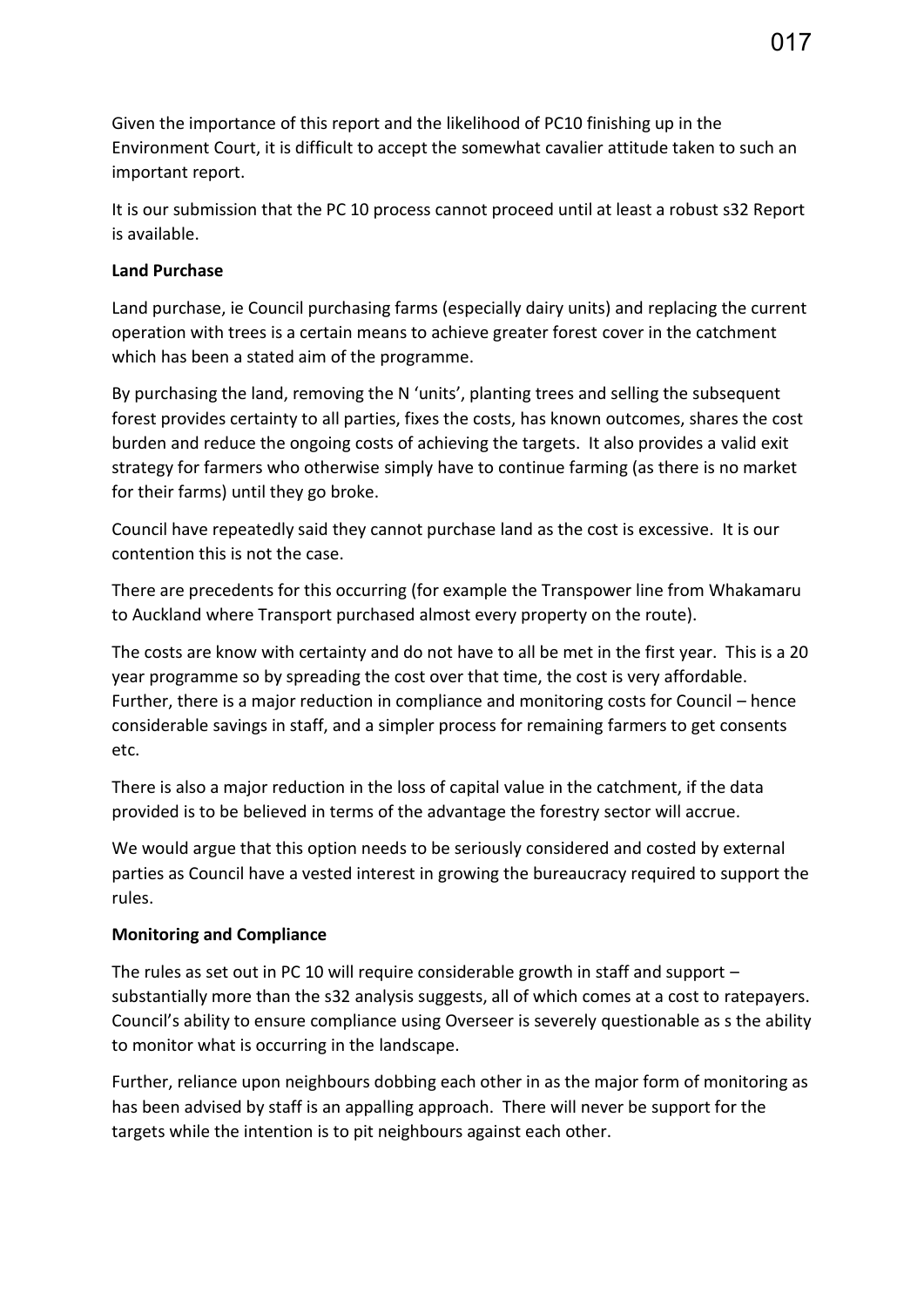Given the importance of this report and the likelihood of PC10 finishing up in the Environment Court, it is difficult to accept the somewhat cavalier attitude taken to such an important report.

It is our submission that the PC 10 process cannot proceed until at least a robust s32 Report is available.

## **Land Purchase**

Land purchase, ie Council purchasing farms (especially dairy units) and replacing the current operation with trees is a certain means to achieve greater forest cover in the catchment which has been a stated aim of the programme.

By purchasing the land, removing the N 'units', planting trees and selling the subsequent forest provides certainty to all parties, fixes the costs, has known outcomes, shares the cost burden and reduce the ongoing costs of achieving the targets. It also provides a valid exit strategy for farmers who otherwise simply have to continue farming (as there is no market for their farms) until they go broke.

Council have repeatedly said they cannot purchase land as the cost is excessive. It is our contention this is not the case.

There are precedents for this occurring (for example the Transpower line from Whakamaru to Auckland where Transport purchased almost every property on the route).

The costs are know with certainty and do not have to all be met in the first year. This is a 20 year programme so by spreading the cost over that time, the cost is very affordable. Further, there is a major reduction in compliance and monitoring costs for Council – hence considerable savings in staff, and a simpler process for remaining farmers to get consents etc.

There is also a major reduction in the loss of capital value in the catchment, if the data provided is to be believed in terms of the advantage the forestry sector will accrue.

We would argue that this option needs to be seriously considered and costed by external parties as Council have a vested interest in growing the bureaucracy required to support the rules.

# **Monitoring and Compliance**

The rules as set out in PC 10 will require considerable growth in staff and support – substantially more than the s32 analysis suggests, all of which comes at a cost to ratepayers. Council's ability to ensure compliance using Overseer is severely questionable as s the ability to monitor what is occurring in the landscape.

Further, reliance upon neighbours dobbing each other in as the major form of monitoring as has been advised by staff is an appalling approach. There will never be support for the targets while the intention is to pit neighbours against each other.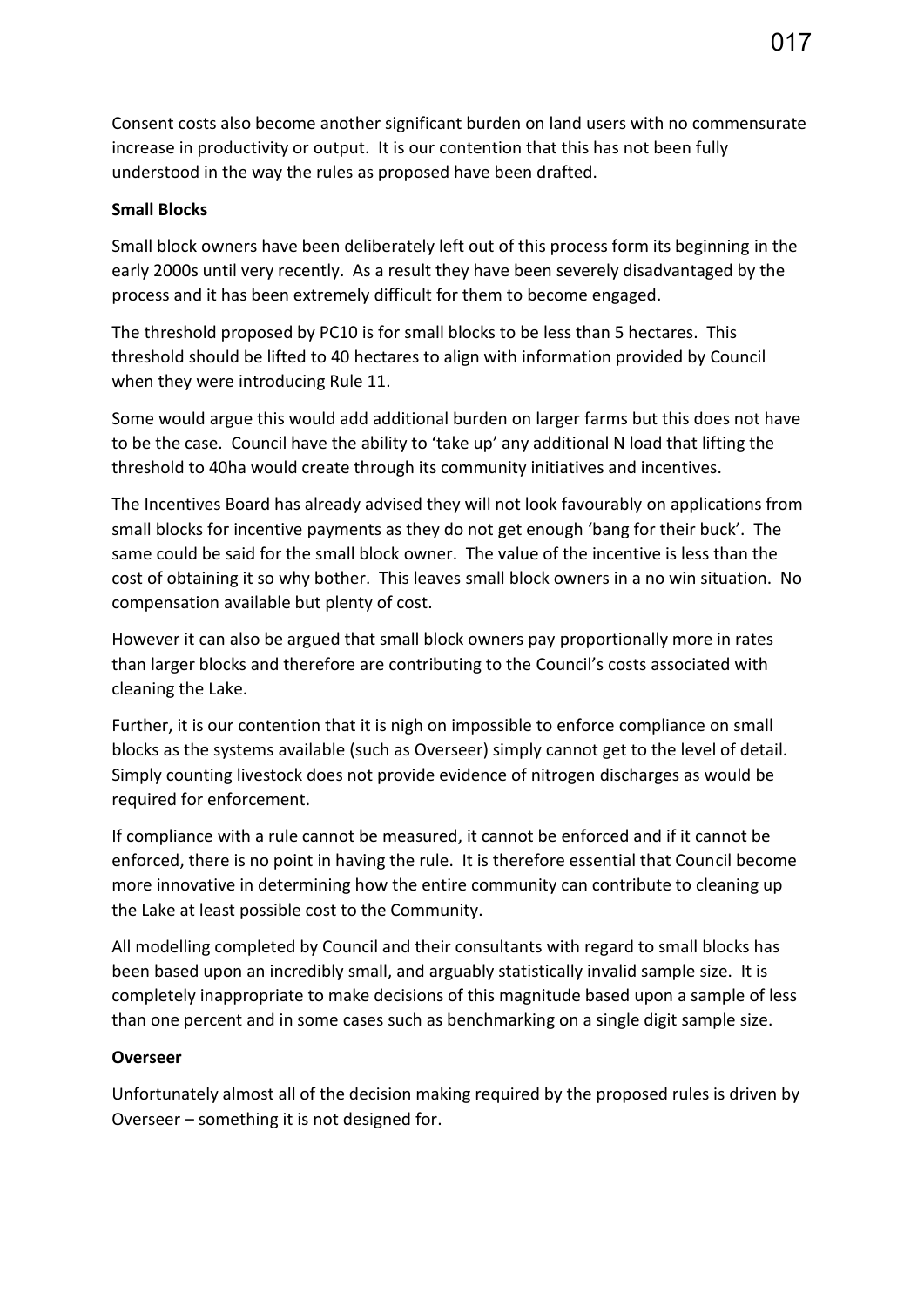Consent costs also become another significant burden on land users with no commensurate increase in productivity or output. It is our contention that this has not been fully understood in the way the rules as proposed have been drafted.

#### **Small Blocks**

Small block owners have been deliberately left out of this process form its beginning in the early 2000s until very recently. As a result they have been severely disadvantaged by the process and it has been extremely difficult for them to become engaged.

The threshold proposed by PC10 is for small blocks to be less than 5 hectares. This threshold should be lifted to 40 hectares to align with information provided by Council when they were introducing Rule 11.

Some would argue this would add additional burden on larger farms but this does not have to be the case. Council have the ability to 'take up' any additional N load that lifting the threshold to 40ha would create through its community initiatives and incentives.

The Incentives Board has already advised they will not look favourably on applications from small blocks for incentive payments as they do not get enough 'bang for their buck'. The same could be said for the small block owner. The value of the incentive is less than the cost of obtaining it so why bother. This leaves small block owners in a no win situation. No compensation available but plenty of cost.

However it can also be argued that small block owners pay proportionally more in rates than larger blocks and therefore are contributing to the Council's costs associated with cleaning the Lake.

Further, it is our contention that it is nigh on impossible to enforce compliance on small blocks as the systems available (such as Overseer) simply cannot get to the level of detail. Simply counting livestock does not provide evidence of nitrogen discharges as would be required for enforcement.

If compliance with a rule cannot be measured, it cannot be enforced and if it cannot be enforced, there is no point in having the rule. It is therefore essential that Council become more innovative in determining how the entire community can contribute to cleaning up the Lake at least possible cost to the Community.

All modelling completed by Council and their consultants with regard to small blocks has been based upon an incredibly small, and arguably statistically invalid sample size. It is completely inappropriate to make decisions of this magnitude based upon a sample of less than one percent and in some cases such as benchmarking on a single digit sample size.

#### **Overseer**

Unfortunately almost all of the decision making required by the proposed rules is driven by Overseer – something it is not designed for.